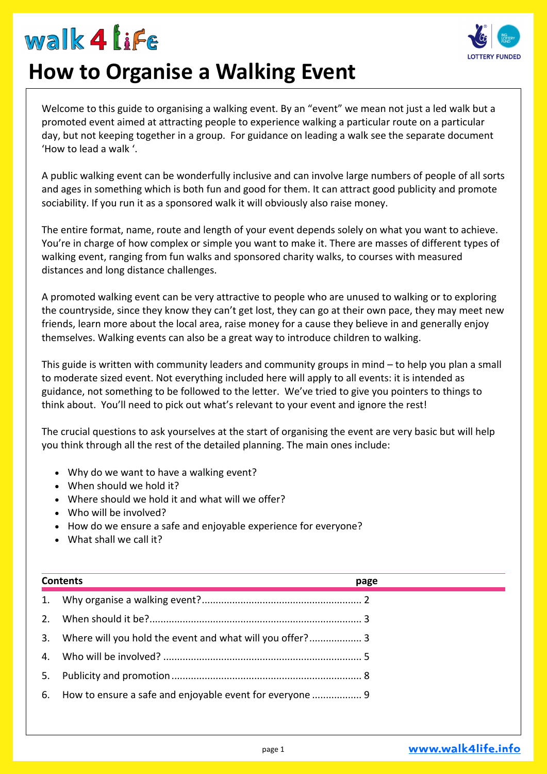### $m$ alk 4 life



### **How to Organise a Walking Event**

Welcome to this guide to organising a walking event. By an "event" we mean not just a led walk but a promoted event aimed at attracting people to experience walking a particular route on a particular day, but not keeping together in a group. For guidance on leading a walk see the separate document 'How to lead a walk '.

A public walking event can be wonderfully inclusive and can involve large numbers of people of all sorts and ages in something which is both fun and good for them. It can attract good publicity and promote sociability. If you run it as a sponsored walk it will obviously also raise money.

The entire format, name, route and length of your event depends solely on what you want to achieve. You're in charge of how complex or simple you want to make it. There are masses of different types of walking event, ranging from fun walks and sponsored charity walks, to courses with measured distances and long distance challenges.

A promoted walking event can be very attractive to people who are unused to walking or to exploring the countryside, since they know they can't get lost, they can go at their own pace, they may meet new friends, learn more about the local area, raise money for a cause they believe in and generally enjoy themselves. Walking events can also be a great way to introduce children to walking.

This guide is written with community leaders and community groups in mind – to help you plan a small to moderate sized event. Not everything included here will apply to all events: it is intended as guidance, not something to be followed to the letter. We've tried to give you pointers to things to think about. You'll need to pick out what's relevant to your event and ignore the rest!

The crucial questions to ask yourselves at the start of organising the event are very basic but will help you think through all the rest of the detailed planning. The main ones include:

- Why do we want to have a walking event?
- When should we hold it?
- Where should we hold it and what will we offer?
- Who will be involved?
- How do we ensure a safe and enjoyable experience for everyone?
- What shall we call it?

| <b>Contents</b> |                                                             | page |
|-----------------|-------------------------------------------------------------|------|
|                 |                                                             |      |
|                 |                                                             |      |
| 3.              | Where will you hold the event and what will you offer? 3    |      |
|                 |                                                             |      |
|                 |                                                             |      |
|                 | 6. How to ensure a safe and enjoyable event for everyone  9 |      |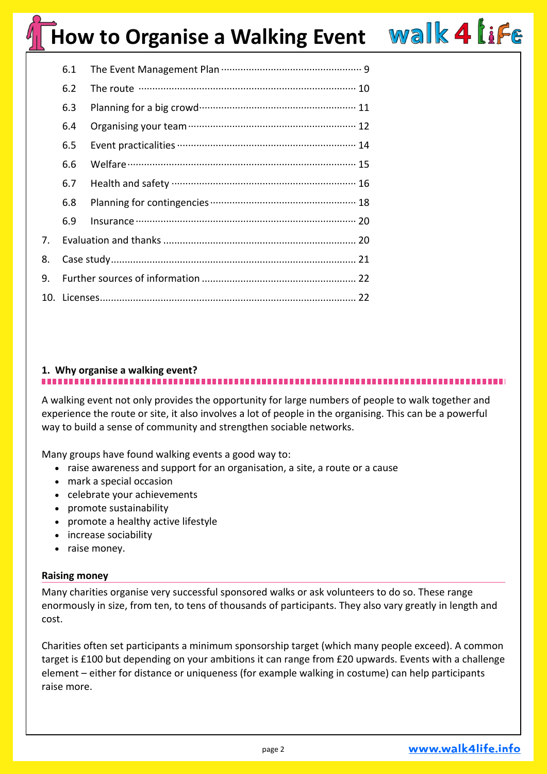|    | 6.1 |  |  |
|----|-----|--|--|
|    | 6.2 |  |  |
|    | 6.3 |  |  |
|    | 6.4 |  |  |
|    | 6.5 |  |  |
|    | 6.6 |  |  |
|    | 6.7 |  |  |
|    | 6.8 |  |  |
|    | 6.9 |  |  |
| 7. |     |  |  |
| 8. |     |  |  |
| 9. |     |  |  |
|    |     |  |  |
|    |     |  |  |

### **1. Why organise a walking event?**

A walking event not only provides the opportunity for large numbers of people to walk together and experience the route or site, it also involves a lot of people in the organising. This can be a powerful way to build a sense of community and strengthen sociable networks.

Many groups have found walking events a good way to:

- raise awareness and support for an organisation, a site, a route or a cause
- mark a special occasion
- celebrate your achievements
- promote sustainability
- promote a healthy active lifestyle
- increase sociability
- raise money.

#### **Raising money**

Many charities organise very successful sponsored walks or ask volunteers to do so. These range enormously in size, from ten, to tens of thousands of participants. They also vary greatly in length and cost.

Charities often set participants a minimum sponsorship target (which many people exceed). A common target is £100 but depending on your ambitions it can range from £20 upwards. Events with a challenge element – either for distance or uniqueness (for example walking in costume) can help participants raise more.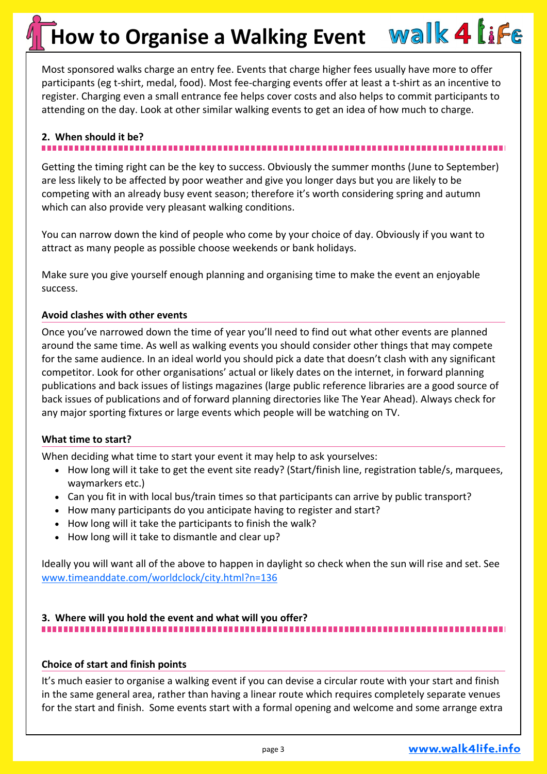Most sponsored walks charge an entry fee. Events that charge higher fees usually have more to offer participants (eg t-shirt, medal, food). Most fee-charging events offer at least a t-shirt as an incentive to register. Charging even a small entrance fee helps cover costs and also helps to commit participants to attending on the day. Look at other similar walking events to get an idea of how much to charge.

### **2. When should it be?**

Getting the timing right can be the key to success. Obviously the summer months (June to September) are less likely to be affected by poor weather and give you longer days but you are likely to be competing with an already busy event season; therefore it's worth considering spring and autumn which can also provide very pleasant walking conditions.

You can narrow down the kind of people who come by your choice of day. Obviously if you want to attract as many people as possible choose weekends or bank holidays.

Make sure you give yourself enough planning and organising time to make the event an enjoyable success.

#### **Avoid clashes with other events**

Once you've narrowed down the time of year you'll need to find out what other events are planned around the same time. As well as walking events you should consider other things that may compete for the same audience. In an ideal world you should pick a date that doesn't clash with any significant competitor. Look for other organisations' actual or likely dates on the internet, in forward planning publications and back issues of listings magazines (large public reference libraries are a good source of back issues of publications and of forward planning directories like The Year Ahead). Always check for any major sporting fixtures or large events which people will be watching on TV.

#### **What time to start?**

When deciding what time to start your event it may help to ask yourselves:

- How long will it take to get the event site ready? (Start/finish line, registration table/s, marquees, waymarkers etc.)
- Can you fit in with local bus/train times so that participants can arrive by public transport?
- How many participants do you anticipate having to register and start?
- How long will it take the participants to finish the walk?
- How long will it take to dismantle and clear up?

Ideally you will want all of the above to happen in daylight so check when the sun will rise and set. See [www.timeanddate.com/worldclock/city.html?n=136](http://www.timeanddate.com/worldclock/city.html?n=136)

#### **3. Where will you hold the event and what will you offer?**  ---------------------------------

#### **Choice of start and finish points**

It's much easier to organise a walking event if you can devise a circular route with your start and finish in the same general area, rather than having a linear route which requires completely separate venues for the start and finish. Some events start with a formal opening and welcome and some arrange extra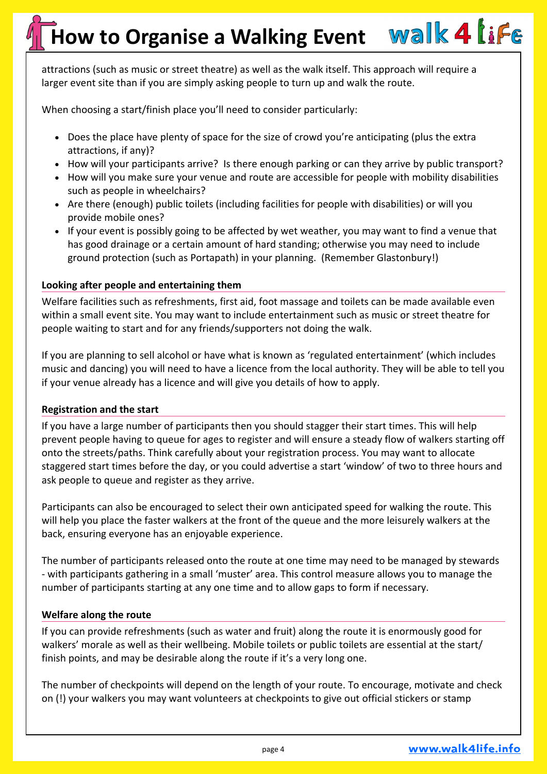attractions (such as music or street theatre) as well as the walk itself. This approach will require a larger event site than if you are simply asking people to turn up and walk the route.

When choosing a start/finish place you'll need to consider particularly:

- Does the place have plenty of space for the size of crowd you're anticipating (plus the extra attractions, if any)?
- How will your participants arrive? Is there enough parking or can they arrive by public transport?
- How will you make sure your venue and route are accessible for people with mobility disabilities such as people in wheelchairs?
- Are there (enough) public toilets (including facilities for people with disabilities) or will you provide mobile ones?
- If your event is possibly going to be affected by wet weather, you may want to find a venue that has good drainage or a certain amount of hard standing; otherwise you may need to include ground protection (such as Portapath) in your planning. (Remember Glastonbury!)

#### **Looking after people and entertaining them**

Welfare facilities such as refreshments, first aid, foot massage and toilets can be made available even within a small event site. You may want to include entertainment such as music or street theatre for people waiting to start and for any friends/supporters not doing the walk.

If you are planning to sell alcohol or have what is known as 'regulated entertainment' (which includes music and dancing) you will need to have a licence from the local authority. They will be able to tell you if your venue already has a licence and will give you details of how to apply.

#### **Registration and the start**

If you have a large number of participants then you should stagger their start times. This will help prevent people having to queue for ages to register and will ensure a steady flow of walkers starting off onto the streets/paths. Think carefully about your registration process. You may want to allocate staggered start times before the day, or you could advertise a start 'window' of two to three hours and ask people to queue and register as they arrive.

Participants can also be encouraged to select their own anticipated speed for walking the route. This will help you place the faster walkers at the front of the queue and the more leisurely walkers at the back, ensuring everyone has an enjoyable experience.

The number of participants released onto the route at one time may need to be managed by stewards - with participants gathering in a small 'muster' area. This control measure allows you to manage the number of participants starting at any one time and to allow gaps to form if necessary.

#### **Welfare along the route**

If you can provide refreshments (such as water and fruit) along the route it is enormously good for walkers' morale as well as their wellbeing. Mobile toilets or public toilets are essential at the start/ finish points, and may be desirable along the route if it's a very long one.

The number of checkpoints will depend on the length of your route. To encourage, motivate and check on (!) your walkers you may want volunteers at checkpoints to give out official stickers or stamp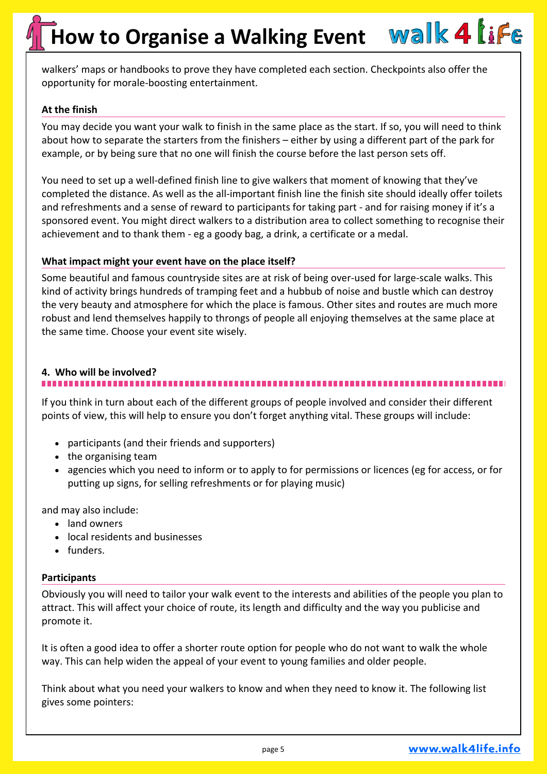walkers' maps or handbooks to prove they have completed each section. Checkpoints also offer the opportunity for morale-boosting entertainment.

#### **At the finish**

You may decide you want your walk to finish in the same place as the start. If so, you will need to think about how to separate the starters from the finishers – either by using a different part of the park for example, or by being sure that no one will finish the course before the last person sets off.

You need to set up a well-defined finish line to give walkers that moment of knowing that they've completed the distance. As well as the all-important finish line the finish site should ideally offer toilets and refreshments and a sense of reward to participants for taking part - and for raising money if it's a sponsored event. You might direct walkers to a distribution area to collect something to recognise their achievement and to thank them - eg a goody bag, a drink, a certificate or a medal.

#### **What impact might your event have on the place itself?**

Some beautiful and famous countryside sites are at risk of being over-used for large-scale walks. This kind of activity brings hundreds of tramping feet and a hubbub of noise and bustle which can destroy the very beauty and atmosphere for which the place is famous. Other sites and routes are much more robust and lend themselves happily to throngs of people all enjoying themselves at the same place at the same time. Choose your event site wisely.

#### **4. Who will be involved?**

If you think in turn about each of the different groups of people involved and consider their different points of view, this will help to ensure you don't forget anything vital. These groups will include:

- participants (and their friends and supporters)
- the organising team
- agencies which you need to inform or to apply to for permissions or licences (eg for access, or for putting up signs, for selling refreshments or for playing music)

and may also include:

- land owners
- local residents and businesses
- funders.

#### **Participants**

Obviously you will need to tailor your walk event to the interests and abilities of the people you plan to attract. This will affect your choice of route, its length and difficulty and the way you publicise and promote it.

It is often a good idea to offer a shorter route option for people who do not want to walk the whole way. This can help widen the appeal of your event to young families and older people.

Think about what you need your walkers to know and when they need to know it. The following list gives some pointers: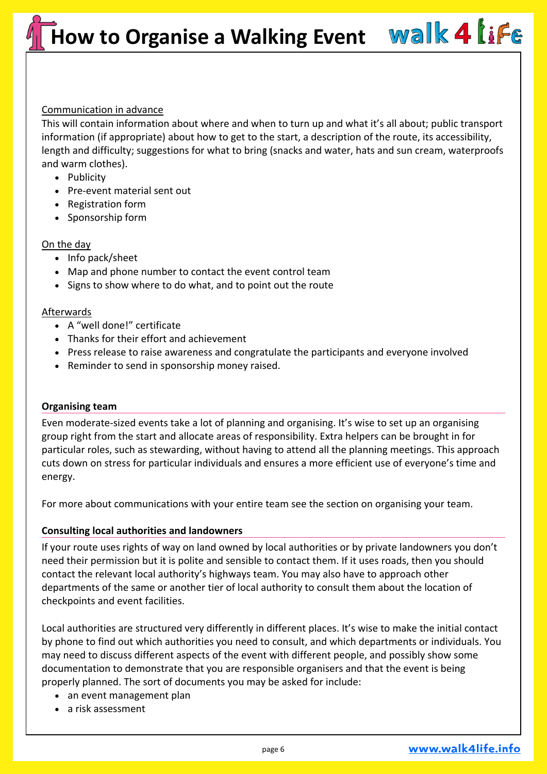#### Communication in advance

This will contain information about where and when to turn up and what it's all about; public transport information (if appropriate) about how to get to the start, a description of the route, its accessibility, length and difficulty; suggestions for what to bring (snacks and water, hats and sun cream, waterproofs and warm clothes).

- Publicity
- Pre-event material sent out
- Registration form
- Sponsorship form

#### On the day

- Info pack/sheet
- Map and phone number to contact the event control team
- Signs to show where to do what, and to point out the route

#### Afterwards

- A "well done!" certificate
- Thanks for their effort and achievement
- Press release to raise awareness and congratulate the participants and everyone involved
- Reminder to send in sponsorship money raised.

#### **Organising team**

Even moderate-sized events take a lot of planning and organising. It's wise to set up an organising group right from the start and allocate areas of responsibility. Extra helpers can be brought in for particular roles, such as stewarding, without having to attend all the planning meetings. This approach cuts down on stress for particular individuals and ensures a more efficient use of everyone's time and energy.

For more about communications with your entire team see the section on organising your team.

#### **Consulting local authorities and landowners**

If your route uses rights of way on land owned by local authorities or by private landowners you don't need their permission but it is polite and sensible to contact them. If it uses roads, then you should contact the relevant local authority's highways team. You may also have to approach other departments of the same or another tier of local authority to consult them about the location of checkpoints and event facilities.

Local authorities are structured very differently in different places. It's wise to make the initial contact by phone to find out which authorities you need to consult, and which departments or individuals. You may need to discuss different aspects of the event with different people, and possibly show some documentation to demonstrate that you are responsible organisers and that the event is being properly planned. The sort of documents you may be asked for include:

- an event management plan
- a risk assessment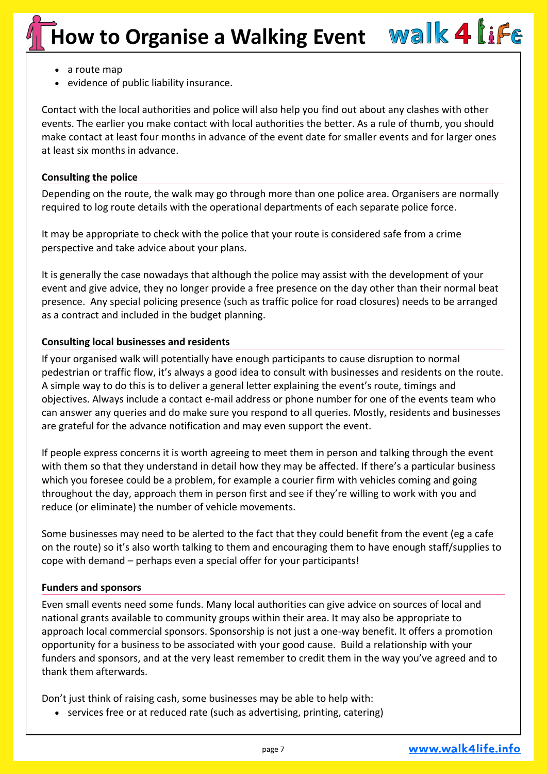- a route map
- evidence of public liability insurance.

Contact with the local authorities and police will also help you find out about any clashes with other events. The earlier you make contact with local authorities the better. As a rule of thumb, you should make contact at least four months in advance of the event date for smaller events and for larger ones at least six months in advance.

### **Consulting the police**

Depending on the route, the walk may go through more than one police area. Organisers are normally required to log route details with the operational departments of each separate police force.

It may be appropriate to check with the police that your route is considered safe from a crime perspective and take advice about your plans.

It is generally the case nowadays that although the police may assist with the development of your event and give advice, they no longer provide a free presence on the day other than their normal beat presence. Any special policing presence (such as traffic police for road closures) needs to be arranged as a contract and included in the budget planning.

### **Consulting local businesses and residents**

If your organised walk will potentially have enough participants to cause disruption to normal pedestrian or traffic flow, it's always a good idea to consult with businesses and residents on the route. A simple way to do this is to deliver a general letter explaining the event's route, timings and objectives. Always include a contact e-mail address or phone number for one of the events team who can answer any queries and do make sure you respond to all queries. Mostly, residents and businesses are grateful for the advance notification and may even support the event.

If people express concerns it is worth agreeing to meet them in person and talking through the event with them so that they understand in detail how they may be affected. If there's a particular business which you foresee could be a problem, for example a courier firm with vehicles coming and going throughout the day, approach them in person first and see if they're willing to work with you and reduce (or eliminate) the number of vehicle movements.

Some businesses may need to be alerted to the fact that they could benefit from the event (eg a cafe on the route) so it's also worth talking to them and encouraging them to have enough staff/supplies to cope with demand – perhaps even a special offer for your participants!

#### **Funders and sponsors**

Even small events need some funds. Many local authorities can give advice on sources of local and national grants available to community groups within their area. It may also be appropriate to approach local commercial sponsors. Sponsorship is not just a one-way benefit. It offers a promotion opportunity for a business to be associated with your good cause. Build a relationship with your funders and sponsors, and at the very least remember to credit them in the way you've agreed and to thank them afterwards.

Don't just think of raising cash, some businesses may be able to help with:

• services free or at reduced rate (such as advertising, printing, catering)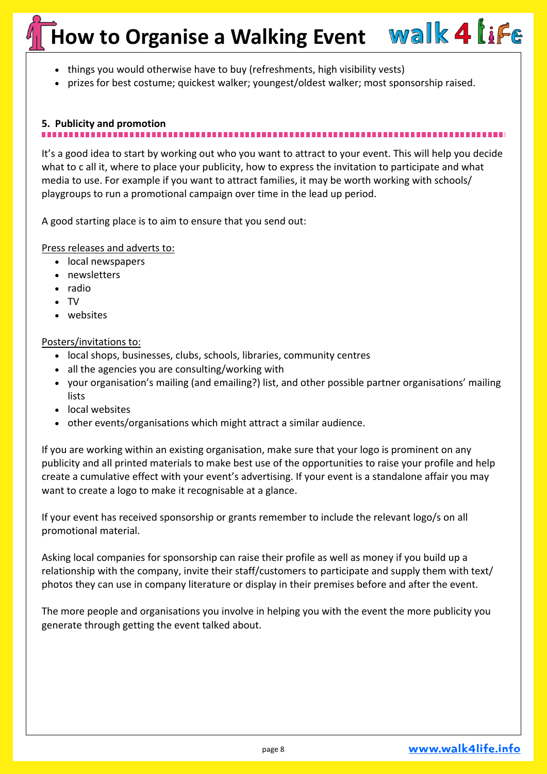- things you would otherwise have to buy (refreshments, high visibility vests)
- prizes for best costume; quickest walker; youngest/oldest walker; most sponsorship raised.

### **5. Publicity and promotion**

It's a good idea to start by working out who you want to attract to your event. This will help you decide what to c all it, where to place your publicity, how to express the invitation to participate and what media to use. For example if you want to attract families, it may be worth working with schools/ playgroups to run a promotional campaign over time in the lead up period.

A good starting place is to aim to ensure that you send out:

Press releases and adverts to:

- local newspapers
- newsletters
- radio
- TV
- websites

#### Posters/invitations to:

- local shops, businesses, clubs, schools, libraries, community centres
- all the agencies you are consulting/working with
- your organisation's mailing (and emailing?) list, and other possible partner organisations' mailing lists
- local websites
- other events/organisations which might attract a similar audience.

If you are working within an existing organisation, make sure that your logo is prominent on any publicity and all printed materials to make best use of the opportunities to raise your profile and help create a cumulative effect with your event's advertising. If your event is a standalone affair you may want to create a logo to make it recognisable at a glance.

If your event has received sponsorship or grants remember to include the relevant logo/s on all promotional material.

Asking local companies for sponsorship can raise their profile as well as money if you build up a relationship with the company, invite their staff/customers to participate and supply them with text/ photos they can use in company literature or display in their premises before and after the event.

The more people and organisations you involve in helping you with the event the more publicity you generate through getting the event talked about.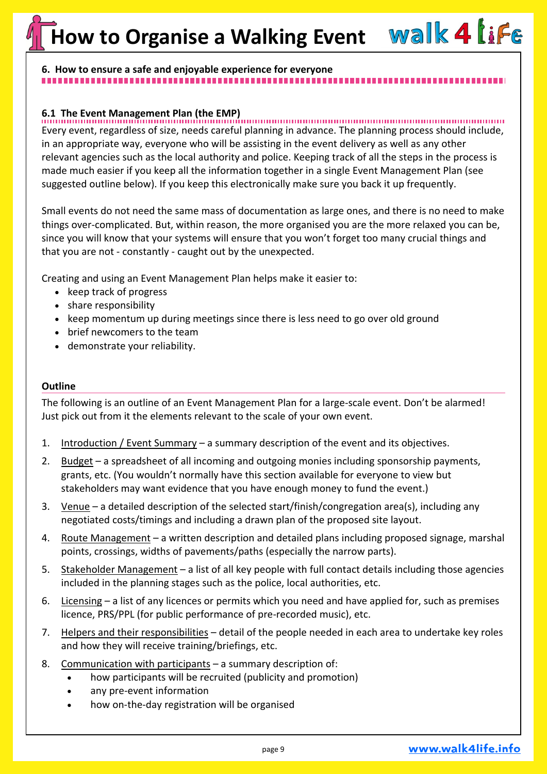### **6. How to ensure a safe and enjoyable experience for everyone**

**6.1 The Event Management Plan (the EMP)** Every event, regardless of size, needs careful planning in advance. The planning process should include, in an appropriate way, everyone who will be assisting in the event delivery as well as any other relevant agencies such as the local authority and police. Keeping track of all the steps in the process is made much easier if you keep all the information together in a single Event Management Plan (see suggested outline below). If you keep this electronically make sure you back it up frequently.

Small events do not need the same mass of documentation as large ones, and there is no need to make things over-complicated. But, within reason, the more organised you are the more relaxed you can be, since you will know that your systems will ensure that you won't forget too many crucial things and that you are not - constantly - caught out by the unexpected.

Creating and using an Event Management Plan helps make it easier to:

- keep track of progress
- share responsibility
- keep momentum up during meetings since there is less need to go over old ground
- brief newcomers to the team
- demonstrate your reliability.

#### **Outline**

The following is an outline of an Event Management Plan for a large-scale event. Don't be alarmed! Just pick out from it the elements relevant to the scale of your own event.

- 1. Introduction / Event Summary a summary description of the event and its objectives.
- 2. Budget a spreadsheet of all incoming and outgoing monies including sponsorship payments, grants, etc. (You wouldn't normally have this section available for everyone to view but stakeholders may want evidence that you have enough money to fund the event.)
- 3. Venue a detailed description of the selected start/finish/congregation area(s), including any negotiated costs/timings and including a drawn plan of the proposed site layout.
- 4. Route Management a written description and detailed plans including proposed signage, marshal points, crossings, widths of pavements/paths (especially the narrow parts).
- 5. Stakeholder Management a list of all key people with full contact details including those agencies included in the planning stages such as the police, local authorities, etc.
- 6. Licensing a list of any licences or permits which you need and have applied for, such as premises licence, PRS/PPL (for public performance of pre-recorded music), etc.
- 7. Helpers and their responsibilities detail of the people needed in each area to undertake key roles and how they will receive training/briefings, etc.
- 8. Communication with participants a summary description of:
	- how participants will be recruited (publicity and promotion)
	- any pre-event information
	- how on-the-day registration will be organised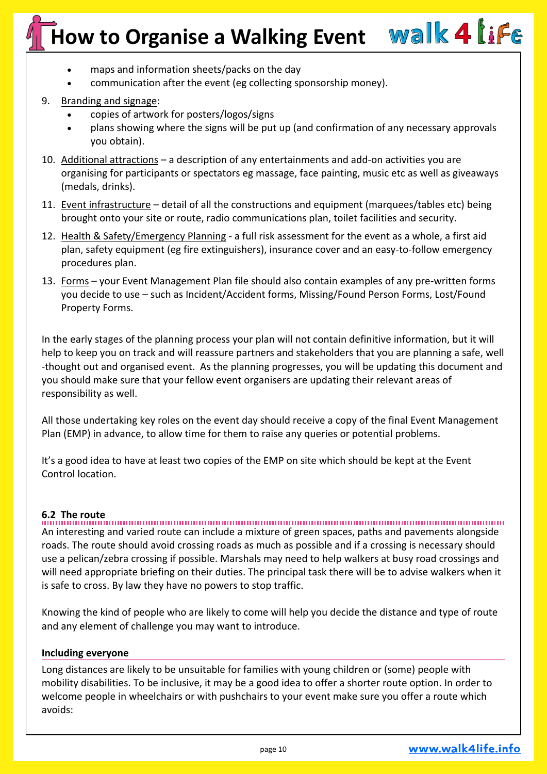- maps and information sheets/packs on the day
- communication after the event (eg collecting sponsorship money).

#### 9. Branding and signage:

- copies of artwork for posters/logos/signs
- plans showing where the signs will be put up (and confirmation of any necessary approvals you obtain).
- 10. Additional attractions a description of any entertainments and add-on activities you are organising for participants or spectators eg massage, face painting, music etc as well as giveaways (medals, drinks).
- 11. Event infrastructure detail of all the constructions and equipment (marquees/tables etc) being brought onto your site or route, radio communications plan, toilet facilities and security.
- 12. Health & Safety/Emergency Planning a full risk assessment for the event as a whole, a first aid plan, safety equipment (eg fire extinguishers), insurance cover and an easy-to-follow emergency procedures plan.
- 13. Forms your Event Management Plan file should also contain examples of any pre-written forms you decide to use – such as Incident/Accident forms, Missing/Found Person Forms, Lost/Found Property Forms.

In the early stages of the planning process your plan will not contain definitive information, but it will help to keep you on track and will reassure partners and stakeholders that you are planning a safe, well -thought out and organised event. As the planning progresses, you will be updating this document and you should make sure that your fellow event organisers are updating their relevant areas of responsibility as well.

All those undertaking key roles on the event day should receive a copy of the final Event Management Plan (EMP) in advance, to allow time for them to raise any queries or potential problems.

It's a good idea to have at least two copies of the EMP on site which should be kept at the Event Control location.

**6.2 The route** An interesting and varied route can include a mixture of green spaces, paths and pavements alongside roads. The route should avoid crossing roads as much as possible and if a crossing is necessary should use a pelican/zebra crossing if possible. Marshals may need to help walkers at busy road crossings and will need appropriate briefing on their duties. The principal task there will be to advise walkers when it is safe to cross. By law they have no powers to stop traffic.

Knowing the kind of people who are likely to come will help you decide the distance and type of route and any element of challenge you may want to introduce.

#### **Including everyone**

Long distances are likely to be unsuitable for families with young children or (some) people with mobility disabilities. To be inclusive, it may be a good idea to offer a shorter route option. In order to welcome people in wheelchairs or with pushchairs to your event make sure you offer a route which avoids: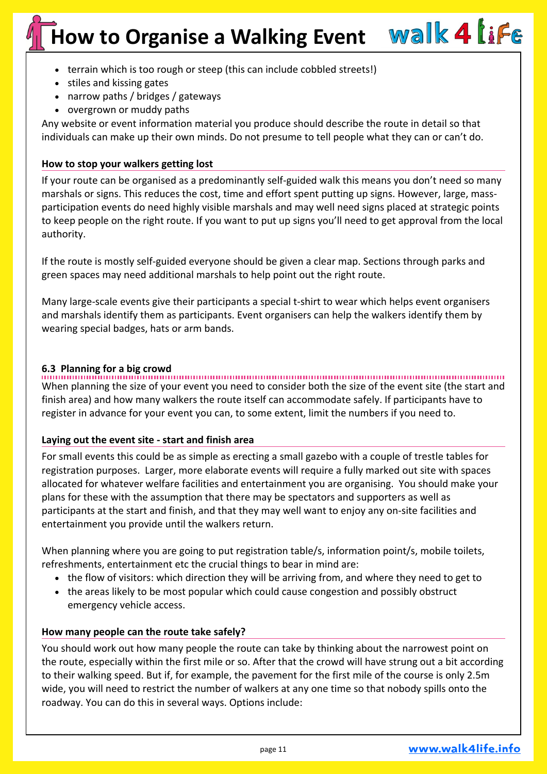- terrain which is too rough or steep (this can include cobbled streets!)
- stiles and kissing gates
- narrow paths / bridges / gateways
- overgrown or muddy paths

Any website or event information material you produce should describe the route in detail so that individuals can make up their own minds. Do not presume to tell people what they can or can't do.

#### **How to stop your walkers getting lost**

If your route can be organised as a predominantly self-guided walk this means you don't need so many marshals or signs. This reduces the cost, time and effort spent putting up signs. However, large, massparticipation events do need highly visible marshals and may well need signs placed at strategic points to keep people on the right route. If you want to put up signs you'll need to get approval from the local authority.

If the route is mostly self-guided everyone should be given a clear map. Sections through parks and green spaces may need additional marshals to help point out the right route.

Many large-scale events give their participants a special t-shirt to wear which helps event organisers and marshals identify them as participants. Event organisers can help the walkers identify them by wearing special badges, hats or arm bands.

**6.3 Planning for a big crowd** When planning the size of your event you need to consider both the size of the event site (the start and finish area) and how many walkers the route itself can accommodate safely. If participants have to register in advance for your event you can, to some extent, limit the numbers if you need to.

#### **Laying out the event site - start and finish area**

For small events this could be as simple as erecting a small gazebo with a couple of trestle tables for registration purposes. Larger, more elaborate events will require a fully marked out site with spaces allocated for whatever welfare facilities and entertainment you are organising. You should make your plans for these with the assumption that there may be spectators and supporters as well as participants at the start and finish, and that they may well want to enjoy any on-site facilities and entertainment you provide until the walkers return.

When planning where you are going to put registration table/s, information point/s, mobile toilets, refreshments, entertainment etc the crucial things to bear in mind are:

- the flow of visitors: which direction they will be arriving from, and where they need to get to
- the areas likely to be most popular which could cause congestion and possibly obstruct emergency vehicle access.

#### **How many people can the route take safely?**

You should work out how many people the route can take by thinking about the narrowest point on the route, especially within the first mile or so. After that the crowd will have strung out a bit according to their walking speed. But if, for example, the pavement for the first mile of the course is only 2.5m wide, you will need to restrict the number of walkers at any one time so that nobody spills onto the roadway. You can do this in several ways. Options include: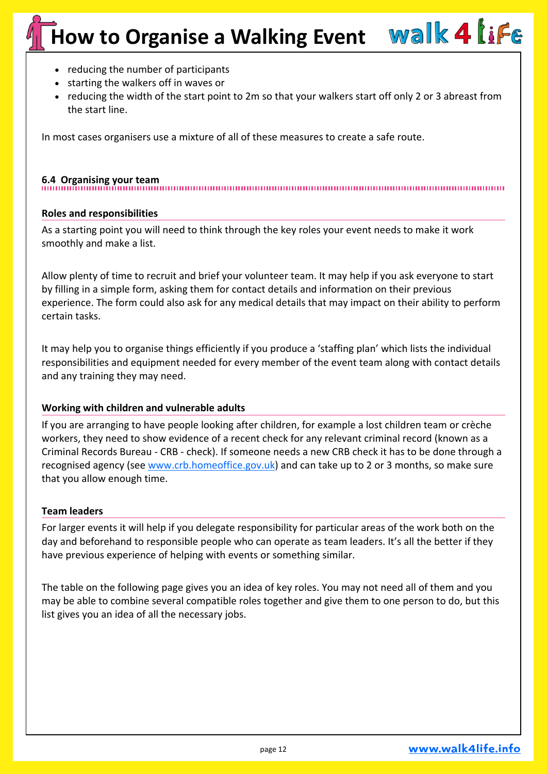- reducing the number of participants
- starting the walkers off in waves or
- reducing the width of the start point to 2m so that your walkers start off only 2 or 3 abreast from the start line.

In most cases organisers use a mixture of all of these measures to create a safe route.

**6.4 Organising your team**

#### **Roles and responsibilities**

As a starting point you will need to think through the key roles your event needs to make it work smoothly and make a list.

Allow plenty of time to recruit and brief your volunteer team. It may help if you ask everyone to start by filling in a simple form, asking them for contact details and information on their previous experience. The form could also ask for any medical details that may impact on their ability to perform certain tasks.

It may help you to organise things efficiently if you produce a 'staffing plan' which lists the individual responsibilities and equipment needed for every member of the event team along with contact details and any training they may need.

#### **Working with children and vulnerable adults**

If you are arranging to have people looking after children, for example a lost children team or crèche workers, they need to show evidence of a recent check for any relevant criminal record (known as a Criminal Records Bureau - CRB - check). If someone needs a new CRB check it has to be done through a recognised agency (see [www.crb.homeoffice.gov.uk\)](http://www.crb.homeoffice.gov.uk) and can take up to 2 or 3 months, so make sure that you allow enough time.

#### **Team leaders**

For larger events it will help if you delegate responsibility for particular areas of the work both on the day and beforehand to responsible people who can operate as team leaders. It's all the better if they have previous experience of helping with events or something similar.

The table on the following page gives you an idea of key roles. You may not need all of them and you may be able to combine several compatible roles together and give them to one person to do, but this list gives you an idea of all the necessary jobs.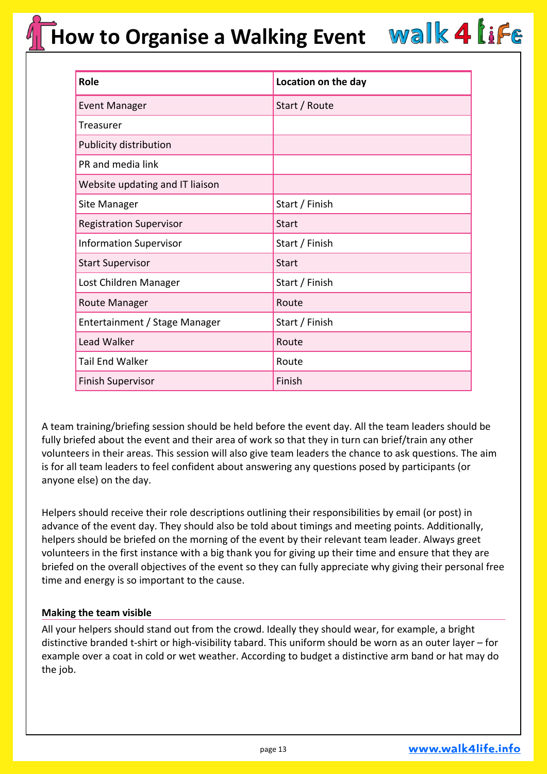| <b>Role</b>                     | Location on the day |
|---------------------------------|---------------------|
| <b>Event Manager</b>            | Start / Route       |
| Treasurer                       |                     |
| Publicity distribution          |                     |
| PR and media link               |                     |
| Website updating and IT liaison |                     |
| Site Manager                    | Start / Finish      |
| <b>Registration Supervisor</b>  | Start               |
| <b>Information Supervisor</b>   | Start / Finish      |
| <b>Start Supervisor</b>         | <b>Start</b>        |
| Lost Children Manager           | Start / Finish      |
| Route Manager                   | Route               |
| Entertainment / Stage Manager   | Start / Finish      |
| Lead Walker                     | Route               |
| <b>Tail End Walker</b>          | Route               |
| <b>Finish Supervisor</b>        | Finish              |

A team training/briefing session should be held before the event day. All the team leaders should be fully briefed about the event and their area of work so that they in turn can brief/train any other volunteers in their areas. This session will also give team leaders the chance to ask questions. The aim is for all team leaders to feel confident about answering any questions posed by participants (or anyone else) on the day.

Helpers should receive their role descriptions outlining their responsibilities by email (or post) in advance of the event day. They should also be told about timings and meeting points. Additionally, helpers should be briefed on the morning of the event by their relevant team leader. Always greet volunteers in the first instance with a big thank you for giving up their time and ensure that they are briefed on the overall objectives of the event so they can fully appreciate why giving their personal free time and energy is so important to the cause.

#### **Making the team visible**

All your helpers should stand out from the crowd. Ideally they should wear, for example, a bright distinctive branded t-shirt or high-visibility tabard. This uniform should be worn as an outer layer – for example over a coat in cold or wet weather. According to budget a distinctive arm band or hat may do the job.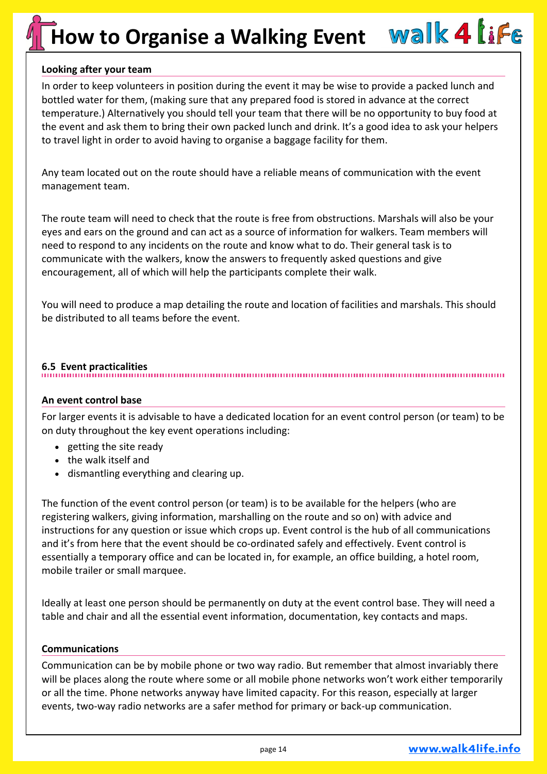#### **Looking after your team**

In order to keep volunteers in position during the event it may be wise to provide a packed lunch and bottled water for them, (making sure that any prepared food is stored in advance at the correct temperature.) Alternatively you should tell your team that there will be no opportunity to buy food at the event and ask them to bring their own packed lunch and drink. It's a good idea to ask your helpers to travel light in order to avoid having to organise a baggage facility for them.

Any team located out on the route should have a reliable means of communication with the event management team.

The route team will need to check that the route is free from obstructions. Marshals will also be your eyes and ears on the ground and can act as a source of information for walkers. Team members will need to respond to any incidents on the route and know what to do. Their general task is to communicate with the walkers, know the answers to frequently asked questions and give encouragement, all of which will help the participants complete their walk.

You will need to produce a map detailing the route and location of facilities and marshals. This should be distributed to all teams before the event.

#### **6.5 Event practicalities**

#### **An event control base**

For larger events it is advisable to have a dedicated location for an event control person (or team) to be on duty throughout the key event operations including:

- getting the site ready
- the walk itself and
- dismantling everything and clearing up.

The function of the event control person (or team) is to be available for the helpers (who are registering walkers, giving information, marshalling on the route and so on) with advice and instructions for any question or issue which crops up. Event control is the hub of all communications and it's from here that the event should be co-ordinated safely and effectively. Event control is essentially a temporary office and can be located in, for example, an office building, a hotel room, mobile trailer or small marquee.

Ideally at least one person should be permanently on duty at the event control base. They will need a table and chair and all the essential event information, documentation, key contacts and maps.

#### **Communications**

Communication can be by mobile phone or two way radio. But remember that almost invariably there will be places along the route where some or all mobile phone networks won't work either temporarily or all the time. Phone networks anyway have limited capacity. For this reason, especially at larger events, two-way radio networks are a safer method for primary or back-up communication.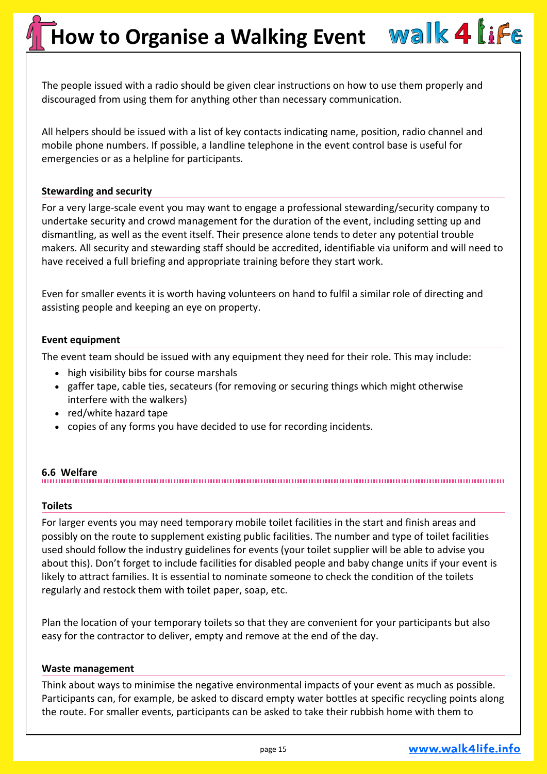The people issued with a radio should be given clear instructions on how to use them properly and discouraged from using them for anything other than necessary communication.

All helpers should be issued with a list of key contacts indicating name, position, radio channel and mobile phone numbers. If possible, a landline telephone in the event control base is useful for emergencies or as a helpline for participants.

#### **Stewarding and security**

For a very large-scale event you may want to engage a professional stewarding/security company to undertake security and crowd management for the duration of the event, including setting up and dismantling, as well as the event itself. Their presence alone tends to deter any potential trouble makers. All security and stewarding staff should be accredited, identifiable via uniform and will need to have received a full briefing and appropriate training before they start work.

Even for smaller events it is worth having volunteers on hand to fulfil a similar role of directing and assisting people and keeping an eye on property.

#### **Event equipment**

The event team should be issued with any equipment they need for their role. This may include:

- high visibility bibs for course marshals
- gaffer tape, cable ties, secateurs (for removing or securing things which might otherwise interfere with the walkers)
- red/white hazard tape
- copies of any forms you have decided to use for recording incidents.

#### **6.6 Welfare**

#### **Toilets**

For larger events you may need temporary mobile toilet facilities in the start and finish areas and possibly on the route to supplement existing public facilities. The number and type of toilet facilities used should follow the industry guidelines for events (your toilet supplier will be able to advise you about this). Don't forget to include facilities for disabled people and baby change units if your event is likely to attract families. It is essential to nominate someone to check the condition of the toilets regularly and restock them with toilet paper, soap, etc.

Plan the location of your temporary toilets so that they are convenient for your participants but also easy for the contractor to deliver, empty and remove at the end of the day.

#### **Waste management**

Think about ways to minimise the negative environmental impacts of your event as much as possible. Participants can, for example, be asked to discard empty water bottles at specific recycling points along the route. For smaller events, participants can be asked to take their rubbish home with them to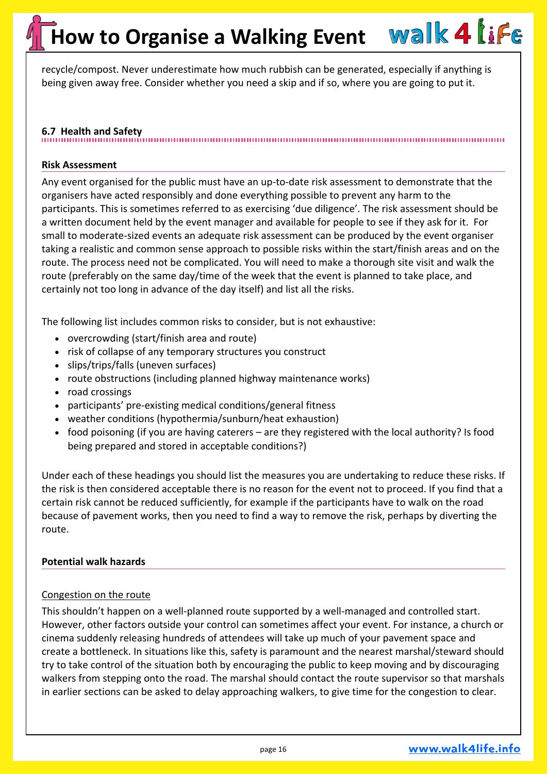recycle/compost. Never underestimate how much rubbish can be generated, especially if anything is being given away free. Consider whether you need a skip and if so, where you are going to put it.

### **6.7 Health and Safety**

#### **Risk Assessment**

Any event organised for the public must have an up-to-date risk assessment to demonstrate that the organisers have acted responsibly and done everything possible to prevent any harm to the participants. This is sometimes referred to as exercising 'due diligence'. The risk assessment should be a written document held by the event manager and available for people to see if they ask for it. For small to moderate-sized events an adequate risk assessment can be produced by the event organiser taking a realistic and common sense approach to possible risks within the start/finish areas and on the route. The process need not be complicated. You will need to make a thorough site visit and walk the route (preferably on the same day/time of the week that the event is planned to take place, and certainly not too long in advance of the day itself) and list all the risks.

The following list includes common risks to consider, but is not exhaustive:

- overcrowding (start/finish area and route)
- risk of collapse of any temporary structures you construct
- slips/trips/falls (uneven surfaces)
- route obstructions (including planned highway maintenance works)
- road crossings
- participants' pre-existing medical conditions/general fitness
- weather conditions (hypothermia/sunburn/heat exhaustion)
- food poisoning (if you are having caterers are they registered with the local authority? Is food being prepared and stored in acceptable conditions?)

Under each of these headings you should list the measures you are undertaking to reduce these risks. If the risk is then considered acceptable there is no reason for the event not to proceed. If you find that a certain risk cannot be reduced sufficiently, for example if the participants have to walk on the road because of pavement works, then you need to find a way to remove the risk, perhaps by diverting the route.

#### **Potential walk hazards**

#### Congestion on the route

This shouldn't happen on a well-planned route supported by a well-managed and controlled start. However, other factors outside your control can sometimes affect your event. For instance, a church or cinema suddenly releasing hundreds of attendees will take up much of your pavement space and create a bottleneck. In situations like this, safety is paramount and the nearest marshal/steward should try to take control of the situation both by encouraging the public to keep moving and by discouraging walkers from stepping onto the road. The marshal should contact the route supervisor so that marshals in earlier sections can be asked to delay approaching walkers, to give time for the congestion to clear.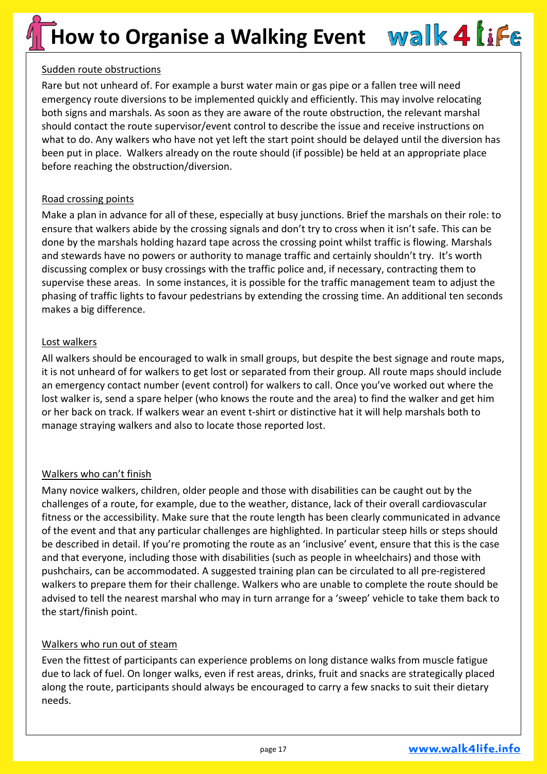#### Sudden route obstructions

Rare but not unheard of. For example a burst water main or gas pipe or a fallen tree will need emergency route diversions to be implemented quickly and efficiently. This may involve relocating both signs and marshals. As soon as they are aware of the route obstruction, the relevant marshal should contact the route supervisor/event control to describe the issue and receive instructions on what to do. Any walkers who have not yet left the start point should be delayed until the diversion has been put in place. Walkers already on the route should (if possible) be held at an appropriate place before reaching the obstruction/diversion.

#### Road crossing points

Make a plan in advance for all of these, especially at busy junctions. Brief the marshals on their role: to ensure that walkers abide by the crossing signals and don't try to cross when it isn't safe. This can be done by the marshals holding hazard tape across the crossing point whilst traffic is flowing. Marshals and stewards have no powers or authority to manage traffic and certainly shouldn't try. It's worth discussing complex or busy crossings with the traffic police and, if necessary, contracting them to supervise these areas. In some instances, it is possible for the traffic management team to adjust the phasing of traffic lights to favour pedestrians by extending the crossing time. An additional ten seconds makes a big difference.

#### Lost walkers

All walkers should be encouraged to walk in small groups, but despite the best signage and route maps, it is not unheard of for walkers to get lost or separated from their group. All route maps should include an emergency contact number (event control) for walkers to call. Once you've worked out where the lost walker is, send a spare helper (who knows the route and the area) to find the walker and get him or her back on track. If walkers wear an event t-shirt or distinctive hat it will help marshals both to manage straying walkers and also to locate those reported lost.

#### Walkers who can't finish

Many novice walkers, children, older people and those with disabilities can be caught out by the challenges of a route, for example, due to the weather, distance, lack of their overall cardiovascular fitness or the accessibility. Make sure that the route length has been clearly communicated in advance of the event and that any particular challenges are highlighted. In particular steep hills or steps should be described in detail. If you're promoting the route as an 'inclusive' event, ensure that this is the case and that everyone, including those with disabilities (such as people in wheelchairs) and those with pushchairs, can be accommodated. A suggested training plan can be circulated to all pre-registered walkers to prepare them for their challenge. Walkers who are unable to complete the route should be advised to tell the nearest marshal who may in turn arrange for a 'sweep' vehicle to take them back to the start/finish point.

#### Walkers who run out of steam

Even the fittest of participants can experience problems on long distance walks from muscle fatigue due to lack of fuel. On longer walks, even if rest areas, drinks, fruit and snacks are strategically placed along the route, participants should always be encouraged to carry a few snacks to suit their dietary needs.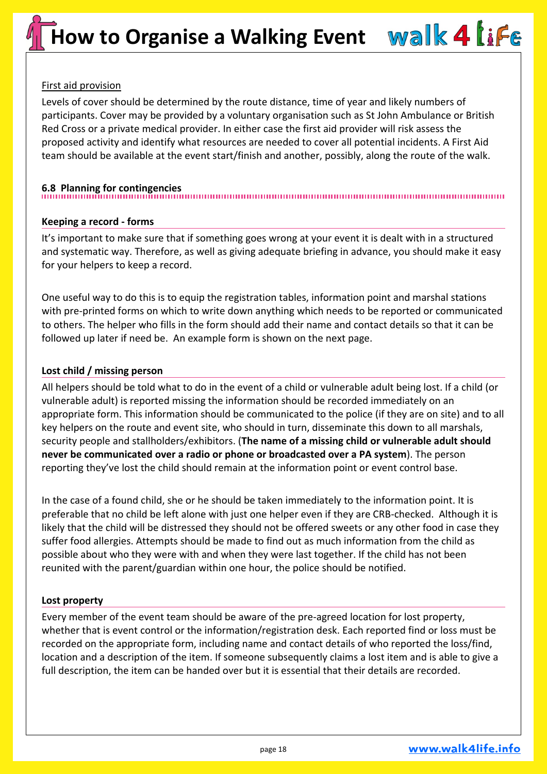#### First aid provision

Levels of cover should be determined by the route distance, time of year and likely numbers of participants. Cover may be provided by a voluntary organisation such as St John Ambulance or British Red Cross or a private medical provider. In either case the first aid provider will risk assess the proposed activity and identify what resources are needed to cover all potential incidents. A First Aid team should be available at the event start/finish and another, possibly, along the route of the walk.

#### **6.8 Planning for contingencies**

#### **Keeping a record - forms**

It's important to make sure that if something goes wrong at your event it is dealt with in a structured and systematic way. Therefore, as well as giving adequate briefing in advance, you should make it easy for your helpers to keep a record.

One useful way to do this is to equip the registration tables, information point and marshal stations with pre-printed forms on which to write down anything which needs to be reported or communicated to others. The helper who fills in the form should add their name and contact details so that it can be followed up later if need be. An example form is shown on the next page.

#### **Lost child / missing person**

All helpers should be told what to do in the event of a child or vulnerable adult being lost. If a child (or vulnerable adult) is reported missing the information should be recorded immediately on an appropriate form. This information should be communicated to the police (if they are on site) and to all key helpers on the route and event site, who should in turn, disseminate this down to all marshals, security people and stallholders/exhibitors. (**The name of a missing child or vulnerable adult should never be communicated over a radio or phone or broadcasted over a PA system**). The person reporting they've lost the child should remain at the information point or event control base.

In the case of a found child, she or he should be taken immediately to the information point. It is preferable that no child be left alone with just one helper even if they are CRB-checked. Although it is likely that the child will be distressed they should not be offered sweets or any other food in case they suffer food allergies. Attempts should be made to find out as much information from the child as possible about who they were with and when they were last together. If the child has not been reunited with the parent/guardian within one hour, the police should be notified.

#### **Lost property**

Every member of the event team should be aware of the pre-agreed location for lost property, whether that is event control or the information/registration desk. Each reported find or loss must be recorded on the appropriate form, including name and contact details of who reported the loss/find, location and a description of the item. If someone subsequently claims a lost item and is able to give a full description, the item can be handed over but it is essential that their details are recorded.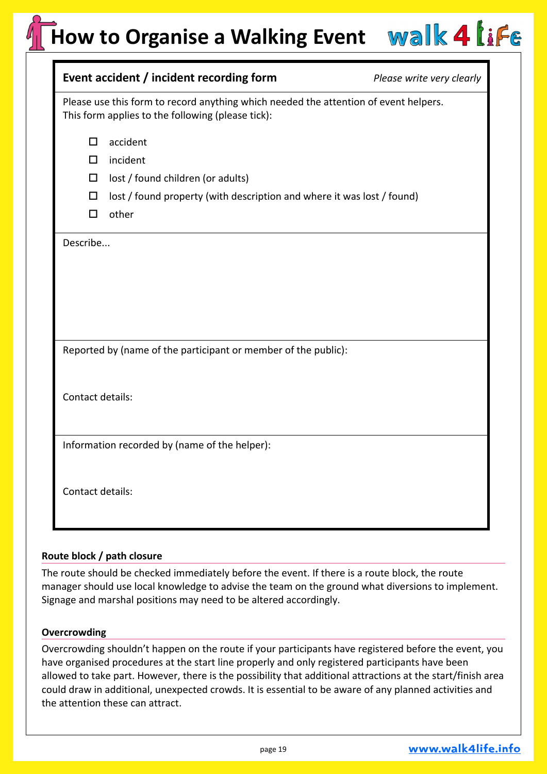### **How to Organise a Walking Event**

| Event accident / incident recording form                                                                                                  | Please write very clearly |  |
|-------------------------------------------------------------------------------------------------------------------------------------------|---------------------------|--|
| Please use this form to record anything which needed the attention of event helpers.<br>This form applies to the following (please tick): |                           |  |
| accident<br>$\Box$<br>incident<br>□                                                                                                       |                           |  |
| lost / found children (or adults)<br>□                                                                                                    |                           |  |
| lost / found property (with description and where it was lost / found)<br>$\Box$<br>$\Box$<br>other                                       |                           |  |
| Describe                                                                                                                                  |                           |  |
|                                                                                                                                           |                           |  |
|                                                                                                                                           |                           |  |
|                                                                                                                                           |                           |  |
| Reported by (name of the participant or member of the public):                                                                            |                           |  |
|                                                                                                                                           |                           |  |
| Contact details:                                                                                                                          |                           |  |
|                                                                                                                                           |                           |  |
| Information recorded by (name of the helper):                                                                                             |                           |  |
|                                                                                                                                           |                           |  |
| Contact details:                                                                                                                          |                           |  |
|                                                                                                                                           |                           |  |

#### **Route block / path closure**

The route should be checked immediately before the event. If there is a route block, the route manager should use local knowledge to advise the team on the ground what diversions to implement. Signage and marshal positions may need to be altered accordingly.

#### **Overcrowding**

Overcrowding shouldn't happen on the route if your participants have registered before the event, you have organised procedures at the start line properly and only registered participants have been allowed to take part. However, there is the possibility that additional attractions at the start/finish area could draw in additional, unexpected crowds. It is essential to be aware of any planned activities and the attention these can attract.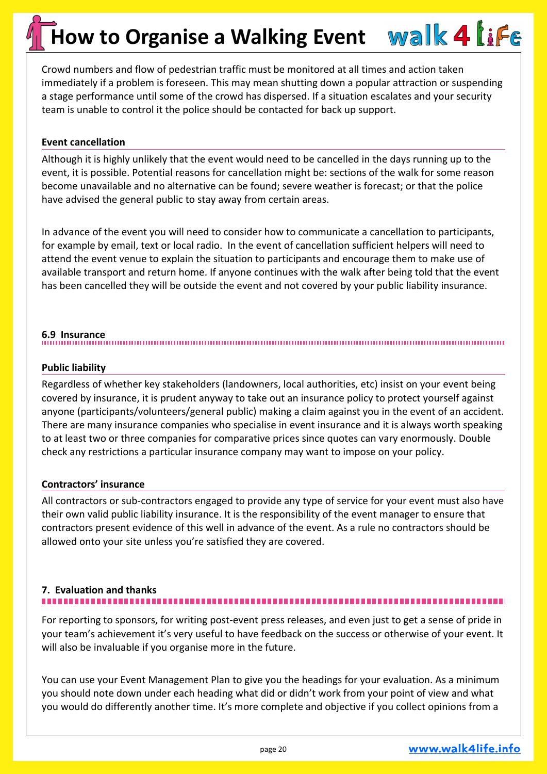Crowd numbers and flow of pedestrian traffic must be monitored at all times and action taken immediately if a problem is foreseen. This may mean shutting down a popular attraction or suspending a stage performance until some of the crowd has dispersed. If a situation escalates and your security team is unable to control it the police should be contacted for back up support.

#### **Event cancellation**

Although it is highly unlikely that the event would need to be cancelled in the days running up to the event, it is possible. Potential reasons for cancellation might be: sections of the walk for some reason become unavailable and no alternative can be found; severe weather is forecast; or that the police have advised the general public to stay away from certain areas.

In advance of the event you will need to consider how to communicate a cancellation to participants, for example by email, text or local radio. In the event of cancellation sufficient helpers will need to attend the event venue to explain the situation to participants and encourage them to make use of available transport and return home. If anyone continues with the walk after being told that the event has been cancelled they will be outside the event and not covered by your public liability insurance.

### **6.9 Insurance**

#### **Public liability**

Regardless of whether key stakeholders (landowners, local authorities, etc) insist on your event being covered by insurance, it is prudent anyway to take out an insurance policy to protect yourself against anyone (participants/volunteers/general public) making a claim against you in the event of an accident. There are many insurance companies who specialise in event insurance and it is always worth speaking to at least two or three companies for comparative prices since quotes can vary enormously. Double check any restrictions a particular insurance company may want to impose on your policy.

#### **Contractors' insurance**

All contractors or sub-contractors engaged to provide any type of service for your event must also have their own valid public liability insurance. It is the responsibility of the event manager to ensure that contractors present evidence of this well in advance of the event. As a rule no contractors should be allowed onto your site unless you're satisfied they are covered.

#### **7. Evaluation and thanks**

For reporting to sponsors, for writing post-event press releases, and even just to get a sense of pride in your team's achievement it's very useful to have feedback on the success or otherwise of your event. It will also be invaluable if you organise more in the future.

You can use your Event Management Plan to give you the headings for your evaluation. As a minimum you should note down under each heading what did or didn't work from your point of view and what you would do differently another time. It's more complete and objective if you collect opinions from a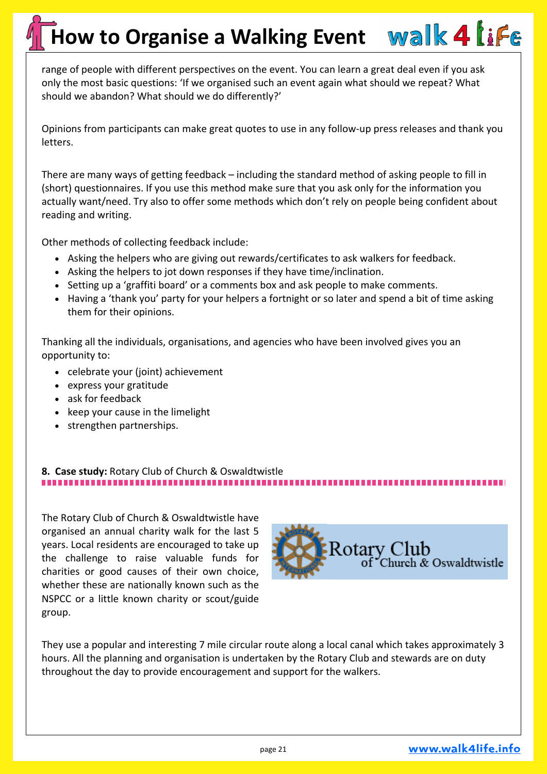range of people with different perspectives on the event. You can learn a great deal even if you ask only the most basic questions: 'If we organised such an event again what should we repeat? What should we abandon? What should we do differently?'

Opinions from participants can make great quotes to use in any follow-up press releases and thank you letters.

There are many ways of getting feedback – including the standard method of asking people to fill in (short) questionnaires. If you use this method make sure that you ask only for the information you actually want/need. Try also to offer some methods which don't rely on people being confident about reading and writing.

Other methods of collecting feedback include:

- Asking the helpers who are giving out rewards/certificates to ask walkers for feedback.
- Asking the helpers to jot down responses if they have time/inclination.
- Setting up a 'graffiti board' or a comments box and ask people to make comments.
- Having a 'thank you' party for your helpers a fortnight or so later and spend a bit of time asking them for their opinions.

Thanking all the individuals, organisations, and agencies who have been involved gives you an opportunity to:

- celebrate your (joint) achievement
- express your gratitude
- ask for feedback
- keep your cause in the limelight
- strengthen partnerships.

#### **8. Case study:** Rotary Club of Church & Oswaldtwistle ,,,,,,,,,,,,,,,,,,,,,,,,,,,,,,,,,,,,

The Rotary Club of Church & Oswaldtwistle have organised an annual charity walk for the last 5 years. Local residents are encouraged to take up the challenge to raise valuable funds for charities or good causes of their own choice, whether these are nationally known such as the NSPCC or a little known charity or scout/guide group.



They use a popular and interesting 7 mile circular route along a local canal which takes approximately 3 hours. All the planning and organisation is undertaken by the Rotary Club and stewards are on duty throughout the day to provide encouragement and support for the walkers.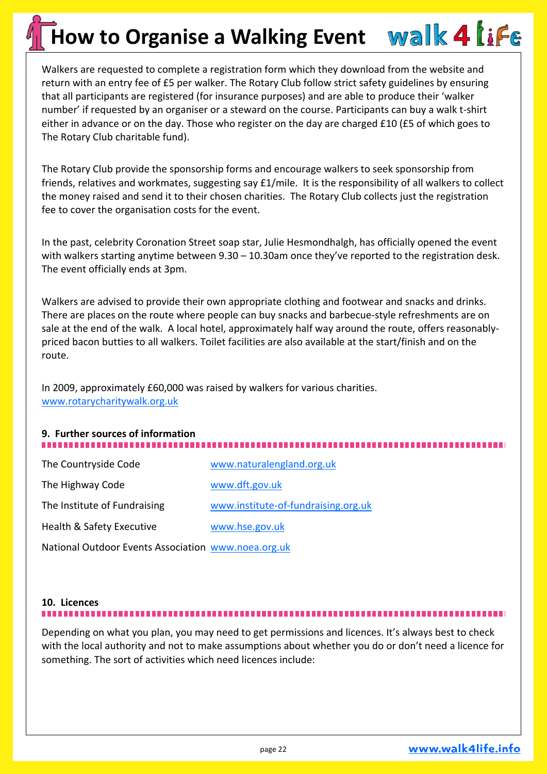Walkers are requested to complete a registration form which they download from the website and return with an entry fee of £5 per walker. The Rotary Club follow strict safety guidelines by ensuring that all participants are registered (for insurance purposes) and are able to produce their 'walker number' if requested by an organiser or a steward on the course. Participants can buy a walk t-shirt either in advance or on the day. Those who register on the day are charged £10 (£5 of which goes to The Rotary Club charitable fund).

The Rotary Club provide the sponsorship forms and encourage walkers to seek sponsorship from friends, relatives and workmates, suggesting say £1/mile. It is the responsibility of all walkers to collect the money raised and send it to their chosen charities. The Rotary Club collects just the registration fee to cover the organisation costs for the event.

In the past, celebrity Coronation Street soap star, Julie Hesmondhalgh, has officially opened the event with walkers starting anytime between 9.30 - 10.30am once they've reported to the registration desk. The event officially ends at 3pm.

Walkers are advised to provide their own appropriate clothing and footwear and snacks and drinks. There are places on the route where people can buy snacks and barbecue-style refreshments are on sale at the end of the walk. A local hotel, approximately half way around the route, offers reasonablypriced bacon butties to all walkers. Toilet facilities are also available at the start/finish and on the route.

In 2009, approximately £60,000 was raised by walkers for various charities. [www.rotarycharitywalk.org.uk](http://www.rotarycharitywalk.org.uk)

### **9. Further sources of information**

| The Countryside Code                                | www.naturalengland.org.uk           |
|-----------------------------------------------------|-------------------------------------|
| The Highway Code                                    | www.dft.gov.uk                      |
| The Institute of Fundraising                        | www.institute-of-fundraising.org.uk |
| Health & Safety Executive                           | www.hse.gov.uk                      |
| National Outdoor Events Association www.noea.org.uk |                                     |

### **10. Licences**

Depending on what you plan, you may need to get permissions and licences. It's always best to check with the local authority and not to make assumptions about whether you do or don't need a licence for something. The sort of activities which need licences include: